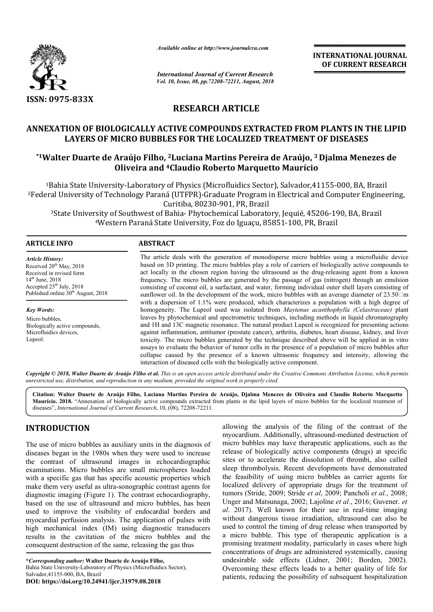

*Available online at http://www.journalcra.com*

*International Journal of Current Research Vol. 10, Issue, 08, pp.72208-72211, August, 2018* **INTERNATIONAL JOURNAL OF CURRENT RESEARCH**

# **RESEARCH ARTICLE**

# **ANNEXATION OF BIOLOGICALLY ACTIVE COMPOUNDS EXTRACTED FROM PLANTS IN THE LIPID LAYERS OF MICRO BUBBLES FOR THE LOCALIZED TREATMENT OF DISEASES** INEXATION OF BIOLOGICALLY ACTIVE COMPOUNDS EXTRACTED FROM PLANTS IN THE LIPID<br>LAYERS OF MICRO BUBBLES FOR THE LOCALIZED TREATMENT OF DISEASES<br><sup>\*1</sup>Walter Duarte de Araújo Filho, <sup>2</sup>Luciana Martins Pereira de Araújo, <sup>3</sup> Dja

# **Oliveira and 4Claudio Roberto Marquetto Maurício**

<sup>1</sup>Bahia State University-Laboratory of Physics (Microfluidics Sector), Salvador,41155-000, BA, Brazil <sup>1</sup>Bahia State University-Laboratory of Physics (Microfluidics Sector), Salvador,41155-000, BA, Brazil<br>2Federal University of Technology Paraná (UTFPR)-Graduate Program in Electrical and Computer Engineering, Curitiba, 80230-901, PR, Brazil Graduate Program in Electrical and Computer Engineering,<br>230-901, PR, Brazil<br>:ochemical Laboratory, Jequié, 45206-190, BA, Brazil

<sup>3</sup>State University of Southwest of Bahia- Phytochemical Laboratory, Jequié, 45206 4Western Paraná State University, Foz do Iguaçu, 85851 Western 85851-100, PR 100, PR, Brazil

| <b>ARTICLE INFO</b>                                                                                                                                                                   | <b>ABSTRACT</b>                                                                                                                                                                                                                                                                                                                                                                                                                                                                                                                                                                                                                                                                                           |
|---------------------------------------------------------------------------------------------------------------------------------------------------------------------------------------|-----------------------------------------------------------------------------------------------------------------------------------------------------------------------------------------------------------------------------------------------------------------------------------------------------------------------------------------------------------------------------------------------------------------------------------------------------------------------------------------------------------------------------------------------------------------------------------------------------------------------------------------------------------------------------------------------------------|
| <b>Article History:</b><br>Received $20th$ May, 2018<br>Received in revised form<br>$14th$ June, 2018<br>Accepted $25th$ July, 2018<br>Published online 30 <sup>th</sup> August, 2018 | The article deals with the generation of monodisperse micro bubbles using a microfluidic device<br>based on 3D printing. The micro bubbles play a role of carriers of biologically active compounds to<br>act locally in the chosen region having the ultrasound as the drug-releasing agent from a known<br>frequency. The micro bubbles are generated by the passage of gas (nitrogen) through an emulsion<br>consisting of coconut oil, a surfactant, and water, forming individual outer shell layers consisting of<br>sunflower oil. In the development of the work, micro bubbles with an average diameter of 23.50 $\Box$ m                                                                        |
|                                                                                                                                                                                       | with a dispersion of 1.1% were produced, which characterizes a population with a high degree of                                                                                                                                                                                                                                                                                                                                                                                                                                                                                                                                                                                                           |
| <b>Key Words:</b>                                                                                                                                                                     | homogeneity. The Lupeol used was isolated from Maytenus acanthophylla (Celastraceae) plant                                                                                                                                                                                                                                                                                                                                                                                                                                                                                                                                                                                                                |
| Micro bubbles.<br>Biologically active compounds,<br>Microfluidics devices,<br>Lupeol.                                                                                                 | leaves by phytochemical and spectrometric techniques, including methods in liquid chromatography<br>and 1H and 13C magnetic resonance. The natural product Lupeol is recognized for presenting actions<br>against inflammation, antitumor (prostate cancer), arthritis, diabetes, heart disease, kidney, and liver<br>toxicity. The micro bubbles generated by the technique described above will be applied in in vitro<br>assays to evaluate the behavior of tumor cells in the presence of a population of micro bubbles after<br>collapse caused by the presence of a known ultrasonic frequency and intensity, allowing the<br>interaction of diseased cells with the biologically active component. |

Copyright © 2018, Walter Duarte de Araújo Filho et al. This is an open access article distributed under the Creative Commons Attribution License, which permits *unrestricted use, distribution, and reproduction in any medium, provided the original work is properly cited.*

Citation: Walter Duarte de Araújo Filho, Luciana Martins Pereira de Araújo, Djalma Menezes de Oliveira and Claudio Roberto Marquetto Maurício. 2018. "Annexation of biologically active compounds extracted from plants in the lipid layers of micro bubbles for the localized treatment of **Maurício. 2018.** "Annexation of biologically active compounds extracted diseases", *International Journal of Current Research*, 10, (08), 72208-72211.

# **INTRODUCTION**

The use of micro bubbles as auxiliary units in the diagnosis of diseases began in the 1980s when they were used to increase the contrast of ultrasound images in echocardiographic examinations. Micro bubbles are small microspheres loaded with a specific gas that has specific acoustic properties which make them very useful as ultra-sonographic contrast agents for diagnostic imaging (Figure 1). The contrast echocardiography, based on the use of ultrasound and micro bubbles, has been used to improve the visibility of endocardial borders and myocardial perfusion analysis. The application of pulses with high mechanical index (IM) using diagnostic transducers results in the cavitation of the micro bubbles and the consequent destruction of the same, releasing the gas thus also them very useful as ultra-sonographic<br>agnostic imaging (Figure 1). The contrast<br>sed on the use of ultrasound and micro<br>ed to improve the visibility of endoca<br>yocardial perfusion analysis. The applicat<br>gh mechanical in

**\****Corresponding author:* **Walter Duarte de Araújo Filho,** Bahia State University-Laboratory of Physics (Microfluidics Sector), Salvador,41155-000, BA, Brazil **DOI: https://doi.org/10.24941/ijcr.31979.08.2018**

allowing the analysis of the filing of the contrast of the<br> **Britage and the model in the diagnosis of** micro bubbles may have the<br>
were used to increase release of biologically active components (drugs) at specific<br>
in ec allowing the analysis of the filing of the contrast of the myocardium. Additionally, ultrasound-mediated destruction of micro bubbles may have therapeutic applications, such as the release of biologically active components (drugs) at specific sites or to accelerate the dissolution of thrombi, also called sleep thrombolysis. Recent developments have demonstrated the feasibility of using micro bubbles as carrier agents for localized delivery of appropriate drugs for the treatment of tumors (Stride, 2009; Stride *et al* Unger and Matsunaga, 2002; Lajoline *et al.*, 2016; Guvener. *et*  al. 2017). Well known for their use in real-time imaging without dangerous tissue irradiation, ultrasound can also be used to control the timing of drug release when transported by a micro bubble. This type of therapeutic application is a promising treatment modality, particularly in cases where high concentrations of drugs are administered systemically, causing without dangerous tissue irradiation, ultrasound can also be used to control the timing of drug release when transported by a micro bubble. This type of therapeutic application is a promising treatment modality, particular Overcoming these effects leads to a better quality of life for patients, reducing the possibility of subsequent hospitalization icro bubbles may have therapeutic applications, such as the lease of biologically active components (drugs) at specific es or to accelerate the dissolution of thrombi, also called eep thrombolysis. Recent developments have INTERNATIONAL JOURNAL<br>
Convent Research<br>
Corrent Research<br>
Corrent Research<br>
Corrent Research<br>
Corrent Research<br>
ARTICLE<br>
INDS EXTRACTED FROM PLANTS IN THE LIPID<br>
OCALIZED TREATMENT OF DISEASES<br>
INDS EXTRACTED FROM PLANTS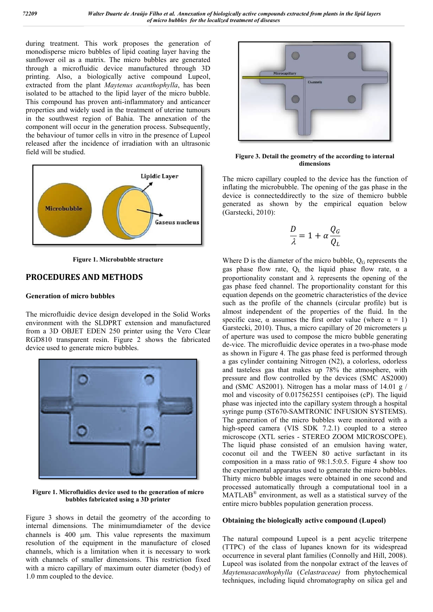during treatment. This work proposes the generation of monodisperse micro bubbles of lipid coating layer having the sunflower oil as a matrix. The micro bubbles are generated through a microfluidic device manufactured through 3D printing. Also, a biologically active compound Lupeol, extracted from the plant *Maytenus acanthophylla* , has been isolated to be attached to the lipid layer of the micro bubble. This compound has proven anti-inflammatory and anticancer properties and widely used in the treatment of uterine tumours in the southwest region of Bahia. The annexation of the component will occur in the generation process. Subsequently, the behaviour of tumor cells in vitro in the presence of Lupeol released after the incidence of irradiation with an ultrasonic field will be studied.



**Figure 1. Microbubble structure**

### **PROCEDURES AND METHODS**

#### **Generation of micro bubbles**

The microfluidic device design developed in the Solid Works environment with the SLDPRT extension and manufactured from a 3D OBJET EDEN 250 printer using the Vero Clear RGD810 transparent resin. Figure 2 shows the fabricated device used to generate micro bubbles.



**Figure 1. Microfluidics device used to the generation of micro . bubbles fabricated using a 3D printer**

Figure 3 shows in detail the geometry of the according to internal dimensions. The minimumdiameter of the device channels is  $400 \mu m$ . This value represents the maximum resolution of the equipment in the manufacture of closed channels, which is a limitation when it is necessary to work with channels of smaller dimensions. This restriction fixed with channels of smaller dimensions. This restriction fixed with a micro capillary of maximum outer diameter (body) of 1.0 mm coupled to the device.



**Figure 3. Detail the geometry of the a according to internal dimensions**

The micro capillary coupled to the device has the function of inflating the microbubble. The opening of the gas phase in the device is connecteddirectly to the size of themicro bubble generated as shown by the empirical equation below (Garstecki, 2010): capillary coupled to the device has the function of<br>e microbubble. The opening of the gas phase in the<br>onnecteddirectly to the size of themicro bubble<br>as shown by the empirical equation below

$$
\frac{D}{\lambda} = 1 + \alpha \frac{Q_G}{Q_L}
$$

Where  $D$  is the diameter of the micro bubble,  $Q_G$  represents the gas phase flow rate,  $Q_L$  the liquid phase flow rate,  $\alpha$  a proportionality constant and  $\lambda$  represents the opening of the gas phase feed channel. The proportionality constant for this equation depends on the geometric characteristics of the device such as the profile of the channels (circular profile) but is almost independent of the properties of the fluid. In the specific case,  $\alpha$  assumes the first order value (where  $\alpha = 1$ ) Garstecki, 2010). Thus, a micro capillary of 20 micrometers  $\mu$ of aperture was used to compose the micro bubble generating of aperture was used to compose the micro bubble generating de-vice. The microfluidic device operates in a two-phase mode as shown in Figure 4. The gas phase feed is performed through a gas cylinder containing Nitrogen (N2), a colorless, odorless and tasteless gas that makes up 78% the atmosphere, with pressure and flow controlled by the devices (SMC AS2000) and (SMC AS2001). Nitrogen has a molar mass of  $14.01 \text{ g}$  / mol and viscosity of 0.017562551 centipoises (cP). The liquid phase was injected into the capillary system through a hospital syringe pump (ST670-SAMTRONIC INFUSION SYSTEMS). The generation of the micro bubbles were monitored with a high-speed camera (VIS SDK 7.2.1) coupled to a stereo microscope (XTL series - STEREO ZOOM MICROSCOPE). The liquid phase consisted of an emulsion having water, high-speed camera (VIS SDK 7.2.1) coupled to a stereo microscope (XTL series - STEREO ZOOM MICROSCOPE).<br>The liquid phase consisted of an emulsion having water, coconut oil and the TWEEN 80 active surfactant in its composition in a mass ratio of 98:1.5:0.5. Figure 4 show too the experimental apparatus used to generate the micro bubbles. composition in a mass ratio of 98:1.5:0.5. Figure 4 show too the experimental apparatus used to generate the micro bubbles. Thirty micro bubble images were obtained in one second and processed automatically through a computational tool in a  $MATLAB^{\circledast}$  environment, as well as a statistical survey of the entire micro bubbles population generation process. gas phase feed channel. The proportionality constant for this equation depends on the geometric characteristics of the device such as the profile of the channels (circular profile) but is almost independent of the propert nown in Figure 4. The gas phase feed is performed througs cylinder containing Nitrogen (N2), a colorless, odorles tasteless gas that makes up 78% the atmosphere, wit sure and flow controlled by the devices (SMC AS2000 (SMC

#### **Obtaining the biologically active compound (Lupeol)**

The natural compound Lupeol is a pent acyclic triterpene MATLAB<sup>®</sup> environment, as well as a statistical survey of the entire micro bubbles population generation process.<br> **Obtaining the biologically active compound (Lupeol)**<br>
The natural compound Lupeol is a pent acyclic trite occurrence in several plant families (Connolly and Hill, 2008). occurrence in several plant families (Connolly and Hill, 2008).<br>Lupeol was isolated from the nonpolar extract of the leaves of *Maytenusacanthophylla* (*Celastraceae)* from phytochemical techniques, including liquid chromatography on silica gel and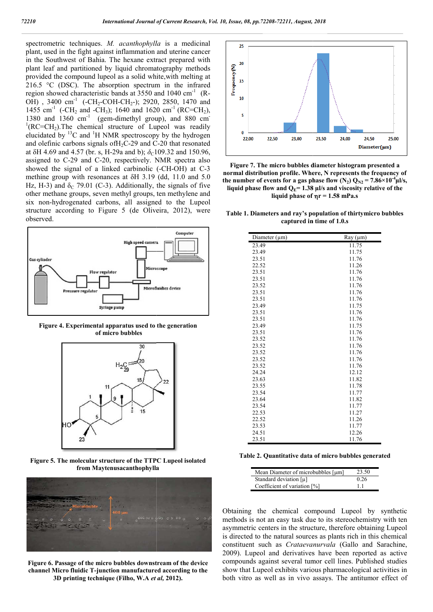spectrometric techniques. *M. acanthophylla* is a medicinal plant, used in the fight against inflammation and uterine cancer in the Southwest of Bahia. The hexane extract prepared with plant leaf and partitioned by liquid chromatography me methods provided the compound lupeol as a solid white,with melting at 216.5 °C (DSC). The absorption spectrum in the infrared region showed characteristic bands at  $3550$  and  $1040 \text{ cm}^{-1}$  (R-OH), 3400 cm<sup>-1</sup> (-CH<sub>2</sub>-COH-CH<sub>2</sub>-); 2920, 2850, 1470 and OH), 3400 cm<sup>-1</sup> (-CH<sub>2</sub>-COH-CH<sub>2</sub>-); 2920, 2850, 1470 and 1455 cm<sup>-1</sup> (-CH<sub>2</sub> and -CH<sub>3</sub>), 1640 and 1620 cm<sup>-1</sup> (RC=CH<sub>2</sub>), 1380 and 1360 cm<sup>-1</sup> (gem-dimethyl group), and 880 cm<sup>-1</sup> ( $PC-CH$ ). The chamical structure of I upsel was readily  ${}^{1}(RC=CH_{2}).$  The chemical structure of Lupeol was readily  ${}^{1}(RC=CH_{2})$ . The chemical structure of Lupeol was readily elucidated by  ${}^{13}C$  and  ${}^{1}H$  NMR spectroscopy by the hydrogen and olefinic carbons signals of  $H_2C-29$  and  $C-20$  that resonated at  $\delta$ H 4.69 and 4.57 (br. s, H-29a and b);  $\delta$ <sub>C</sub>109.32 and 150.96, assigned to C-29 and C-20, respectively. NMR spectra also showed the signal of a linked carbinolic (-CH-OH) at C-3 methine group with resonances at δH 3.19 (dd, 11.0 and 5.0 Hz, H-3) and  $\delta_c$  79.01 (C-3). Additionally, the signals of five other methane groups, seven methyl groups, ten methylene and Hz, H-3) and  $\delta_C$  79.01 (C-3). Additionally, the signals of five other methane groups, seven methyl groups, ten methylene and six non-hydrogenated carbons, all assigned to the Lupeol structure according to Figure 5 (de Oliveira, 2012), were observed. 11-29a and b);  $\delta_c$ 109.32 and 150.96, 20, respectively. NMR spectra also linked carbinolic (-CH-OH) at C-3







**Figure 5. The molecular structure of the TTPC Lupeol isolated from Maytenusacanthophylla**



**Figure 6. Passage of the micro bubbles downstream of the device**  channel Micro fluidic T-junction manufactured according to the **3D printing technique (Filho, W.A** *et al,* **2012).**



**Figure 7. The micro bubbles diameter histogram presented a normal distribution profile. Where, N represents the frequency of i** Figure 7. The micro bubbles diameter histogram presented a normal distribution profile. Where, N represents the frequency of the number of events for a gas phase flow  $(N_2) Q_{N_2} = 7.86 \times 10^{-4} \mu/s$ , liquid phase flow and  $Q_E$  = 1.38  $\mu$ *l*/s and viscosity relative of the **liquid phase of r = 1.58 mPa.s**

**Table 1. Diameters and ray's population of thirtymicro bubbles population captured in time of 1.0.s**

| Diameter $(\mu m)$ | Ray (µm) |
|--------------------|----------|
| 23.49              | 11.75    |
| 23.49              | 11.75    |
| 23.51              | 11.76    |
| 22.52              | 11.26    |
| 23.51              | 11.76    |
| 23.51              | 11.76    |
| 23.52              | 11.76    |
| 23.51              | 11.76    |
| 23.51              | 11.76    |
| 23.49              | 11.75    |
| 23.51              | 11.76    |
| 23.51              | 11.76    |
| 23.49              | 11.75    |
| 23.51              | 11.76    |
| 23.52              | 11.76    |
| 23.52              | 11.76    |
| 23.52              | 11.76    |
| 23.52              | 11.76    |
| 23.52              | 11.76    |
| 24.24              | 12.12    |
| 23.63              | 11.82    |
| 23.55              | 11.78    |
| 23.54              | 11.77    |
| 23.64              | 11.82    |
| 23.54              | 11.77    |
| 22.53              | 11.27    |
| 22.52              | 11.26    |
| 23.53              | 11.77    |
| 24.51              | 12.26    |
| 23.51              | 11.76    |

**Table 2. Quantitative data of micro bubbles generated**

| Mean Diameter of microbubbles [µm] | 23.50 |
|------------------------------------|-------|
| Standard deviation $[\mu]$         | 0.26  |
| Coefficient of variation [%]       | 11    |

Obtaining the chemical compound Lupeol by synthetic methods is not an easy task due to its stereochemistry with ten asymmetric centers in the structure, therefore obtaining Lupeol is directed to the natural sources as plants rich in this chemical constituent such as *Crataeva Crataevanurvala* (Gallo and Sarachine, 2009). Lupeol and derivatives have Lupeol been reported as active compounds against several tumor cell lines. Published studies show that Lupeol exhibits various pharmacological activities in both vitro as well as in vivo assays. The antitumor effect of ordining the chemical compound Lupeol by synthetic ethods is not an easy task due to its stereochemistry with ten ymmetric centers in the structure, therefore obtaining Lupeol directed to the natural sources as plants rich compounds against several tumor cell lines. Published studies<br>show that Lupeol exhibits various pharmacological activities in<br>both vitro as well as in vivo assays. The antitumor effect of